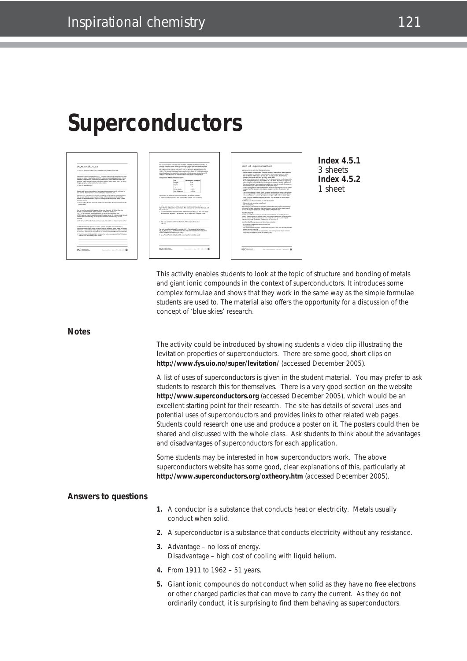# **Superconductors**



**Index 4.5.1** 3 sheets **Index 4.5.2** 1 sheet

This activity enables students to look at the topic of structure and bonding of metals and giant ionic compounds in the context of superconductors. It introduces some complex formulae and shows that they work in the same way as the simple formulae students are used to. The material also offers the opportunity for a discussion of the concept of 'blue skies' research.

#### **Notes**

The activity could be introduced by showing students a video clip illustrating the levitation properties of superconductors. There are some good, short clips on **http://www.fys.uio.no/super/levitation/** (accessed December 2005).

A list of uses of superconductors is given in the student material. You may prefer to ask students to research this for themselves. There is a very good section on the website **http://www.superconductors.org** (accessed December 2005), which would be an excellent starting point for their research. The site has details of several uses and potential uses of superconductors and provides links to other related web pages. Students could research one use and produce a poster on it. The posters could then be shared and discussed with the whole class. Ask students to think about the advantages and disadvantages of superconductors for each application.

Some students may be interested in how superconductors work. The above superconductors website has some good, clear explanations of this, particularly at **http://www.superconductors.org/oxtheory.htm** (accessed December 2005).

#### **Answers to questions**

- **1.** A conductor is a substance that conducts heat or electricity. Metals usually conduct when solid.
- **2.** A superconductor is a substance that conducts electricity without any resistance.
- **3.** Advantage no loss of energy. Disadvantage – high cost of cooling with liquid helium.
- **4.** From 1911 to 1962 51 years.
- **5.** Giant ionic compounds do not conduct when solid as they have no free electrons or other charged particles that can move to carry the current. As they do not ordinarily conduct, it is surprising to find them behaving as superconductors.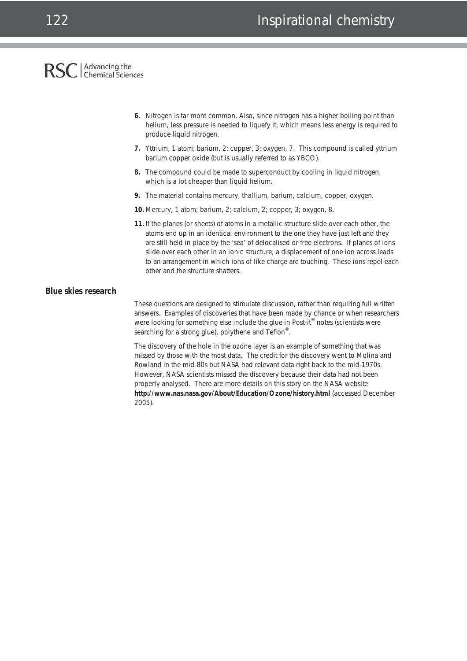### Advancing the<br>Chemical Sciences **RSC**

- **6.** Nitrogen is far more common. Also, since nitrogen has a higher boiling point than helium, less pressure is needed to liquefy it, which means less energy is required to produce liquid nitrogen.
- **7.** Yttrium, 1 atom; barium, 2; copper, 3; oxygen, 7. This compound is called yttrium barium copper oxide (but is usually referred to as YBCO).
- **8.** The compound could be made to superconduct by cooling in liquid nitrogen, which is a lot cheaper than liquid helium.
- **9.** The material contains mercury, thallium, barium, calcium, copper, oxygen.
- **10.** Mercury, 1 atom; barium, 2; calcium, 2; copper, 3; oxygen, 8.
- **11.** If the planes (or sheets) of atoms in a metallic structure slide over each other, the atoms end up in an identical environment to the one they have just left and they are still held in place by the 'sea' of delocalised or free electrons. If planes of ions slide over each other in an ionic structure, a displacement of one ion across leads to an arrangement in which ions of like charge are touching. These ions repel each other and the structure shatters.

#### **Blue skies research**

These questions are designed to stimulate discussion, rather than requiring full written answers. Examples of discoveries that have been made by chance or when researchers were looking for something else include the glue in Post-it<sup>®</sup> notes (scientists were searching for a strong glue), polythene and Teflon<sup>®</sup>.

The discovery of the hole in the ozone layer is an example of something that was missed by those with the most data. The credit for the discovery went to Molina and Rowland in the mid-80s but NASA had relevant data right back to the mid-1970s. However, NASA scientists missed the discovery because their data had not been properly analysed. There are more details on this story on the NASA website **http://www.nas.nasa.gov/About/Education/Ozone/history.html** (accessed December 2005).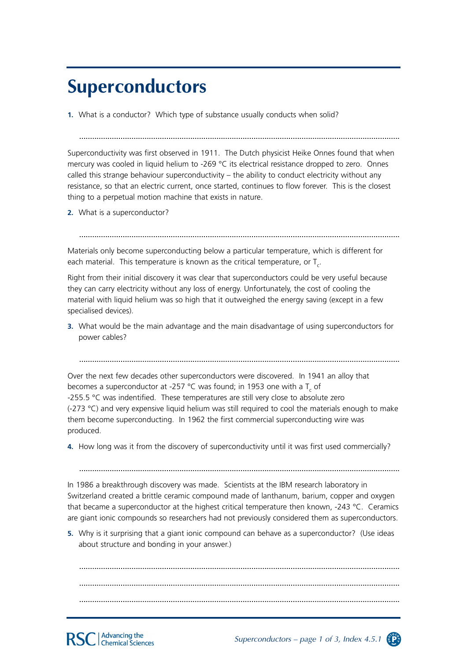## **Superconductors**

**1.** What is a conductor? Which type of substance usually conducts when solid?

Superconductivity was first observed in 1911. The Dutch physicist Heike Onnes found that when mercury was cooled in liquid helium to -269 °C its electrical resistance dropped to zero. Onnes called this strange behaviour superconductivity  $-$  the ability to conduct electricity without any resistance, so that an electric current, once started, continues to flow forever. This is the closest thing to a perpetual motion machine that exists in nature.

...................................................................................................................................................

**2.** What is a superconductor?

Materials only become superconducting below a particular temperature, which is different for each material. This temperature is known as the critical temperature, or  $T_c$ .

...................................................................................................................................................

Right from their initial discovery it was clear that superconductors could be very useful because they can carry electricity without any loss of energy. Unfortunately, the cost of cooling the material with liquid helium was so high that it outweighed the energy saving (except in a few specialised devices).

**3.** What would be the main advantage and the main disadvantage of using superconductors for power cables?

...................................................................................................................................................

Over the next few decades other superconductors were discovered. In 1941 an alloy that becomes a superconductor at -257 °C was found; in 1953 one with a  $T_c$  of -255.5  $\degree$ C was indentified. These temperatures are still very close to absolute zero  $(-273 \degree C)$  and very expensive liquid helium was still required to cool the materials enough to make them become superconducting. In 1962 the first commercial superconducting wire was produced.

**4.** How long was it from the discovery of superconductivity until it was first used commercially?

...................................................................................................................................................

In 1986 a breakthrough discovery was made. Scientists at the IBM research laboratory in Switzerland created a brittle ceramic compound made of lanthanum, barium, copper and oxygen that became a superconductor at the highest critical temperature then known, -243 °C. Ceramics are giant ionic compounds so researchers had not previously considered them as superconductors.

**5.** Why is it surprising that a giant ionic compound can behave as a superconductor? (Use ideas about structure and bonding in your answer.)

................................................................................................................................................... ................................................................................................................................................... ...................................................................................................................................................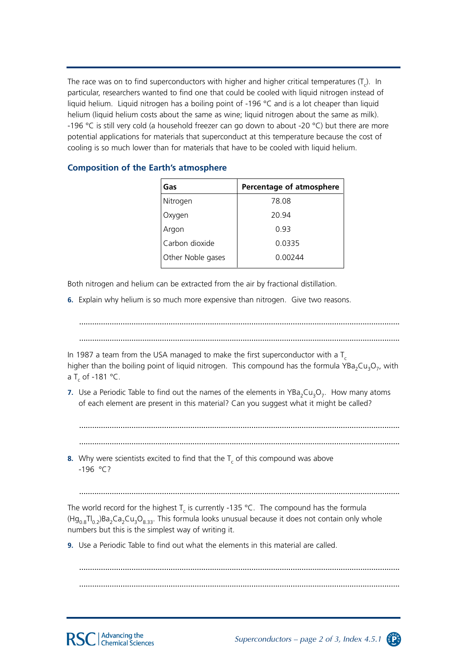The race was on to find superconductors with higher and higher critical temperatures (T<sub>c</sub>). In particular, researchers wanted to find one that could be cooled with liquid nitrogen instead of liquid helium. Liquid nitrogen has a boiling point of -196 °C and is a lot cheaper than liquid helium (liquid helium costs about the same as wine; liquid nitrogen about the same as milk). -196 °C is still very cold (a household freezer can go down to about -20 °C) but there are more potential applications for materials that superconduct at this temperature because the cost of cooling is so much lower than for materials that have to be cooled with liquid helium.

| Gas               | Percentage of atmosphere |
|-------------------|--------------------------|
| Nitrogen          | 78.08                    |
| Oxygen            | 20.94                    |
| Argon             | 0.93                     |
| Carbon dioxide    | 0.0335                   |
| Other Noble gases | 0.00244                  |
|                   |                          |

### **Composition of the Earth's atmosphere**

Both nitrogen and helium can be extracted from the air by fractional distillation.

**6.** Explain why helium is so much more expensive than nitrogen. Give two reasons.

...................................................................................................................................................

...................................................................................................................................................

In 1987 a team from the USA managed to make the first superconductor with a  $T_c$ higher than the boiling point of liquid nitrogen. This compound has the formula YBa<sub>2</sub>Cu<sub>3</sub>O<sub>7</sub>, with a T<sub>c</sub> of -181 °C.

**7.** Use a Periodic Table to find out the names of the elements in YBa<sub>2</sub>Cu<sub>3</sub>O<sub>7</sub>. How many atoms of each element are present in this material? Can you suggest what it might be called?

................................................................................................................................................... ...................................................................................................................................................

**8.** Why were scientists excited to find that the  $T_c$  of this compound was above  $-196 °C?$ 

...................................................................................................................................................

The world record for the highest  $T_c$  is currently -135 °C. The compound has the formula  $(Hg_{0.8}H_{0.2})Ba_2Ca_3Cu_3O_8.$  This formula looks unusual because it does not contain only whole numbers but this is the simplest way of writing it.

**9.** Use a Periodic Table to find out what the elements in this material are called.

................................................................................................................................................... ...................................................................................................................................................



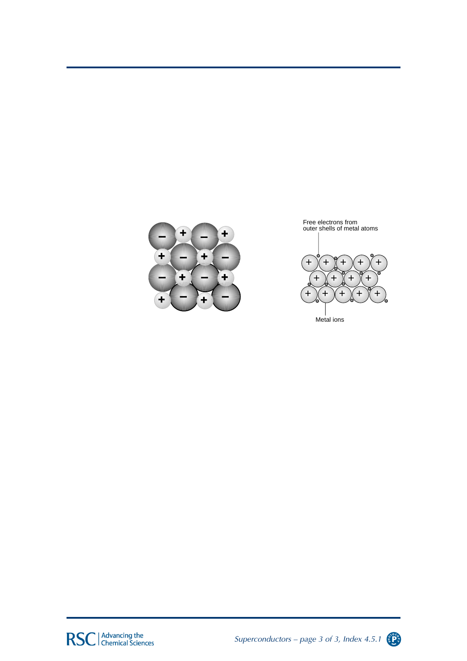